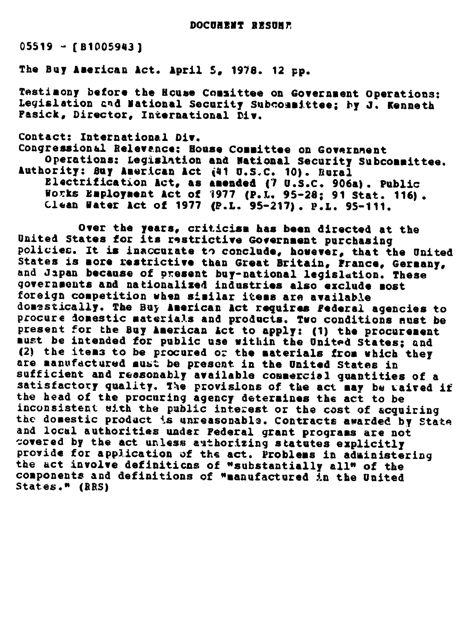05519 - [B1005943]

The Buy American Act. April 5, 1978. 12 pp.

Testimony before the House Comsittee on Government Operations:<br>Legislation and National Security Subcommittee; by J. Kenneth Fasick, Director, International Div.

Contact: International Div. Congressional Relevence: House Committee on Government Operations: Legislation and National Security Subcommittee. Authority: Buy American Act (41 U.S.C. 10). Rural Electrification Act, as amended (7 U.S.C. 906a). Public Vorks Employment Act of 1977 (P.L. 95-28; 91 Stat. 116). Clean Water Act of 1977 (P.L. 95-217). P.L. 95-111.

Over the years, criticism has been directed at the United States for its restrictive Government purchasing policies. It is inaccurate to conclude, however, that the United States is more restrictive than Great Britain, France, Germany,<br>and Japan because of present buy-national legislation. These governeonts and nationalized industries also exclude most foreign competition when similar items are available domestically. The Buy American Act requires federal agencies to procure donestic materials and products. Two conditions nust be present for the Buy American Act to apply: (1) the procurement<br>must be intended for public use within the United States; and (2) the items to be procured or the materials from which they are manufdctured must be present in the United States in sufficient and reasonably available commercial quantities of a satisfactory quality. The provislons of the act **may** be vaired if the head of the procuring agency determines the act to be<br>inconsistent with the public interest or the cost of acquiring the domestic product is unreasonable. Contracts awarded by State<br>and local authorities under Federal grant programs are not covered by the act unless authorizing statutes explicitly<br>provide for application of the act. Problems in administering<br>the act involve definitions of "substantially all" of the components and definitions of "manufactured in the United States." (RRS)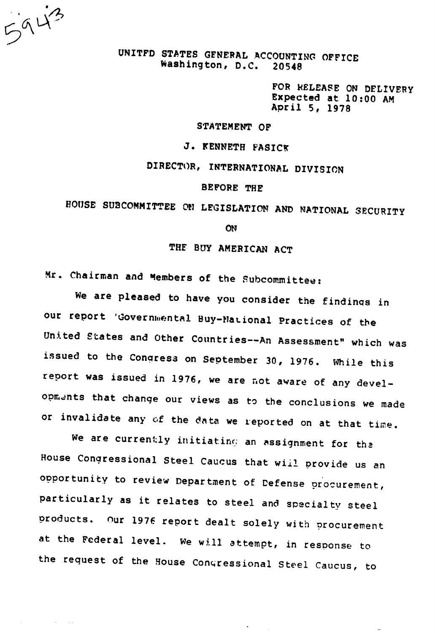5943

**Carl County** 

UNITFD STATES GENERAL ACCOUNTING OFFICE Washington, D.C. 20548

FOR RELEASE ON DELIVERY Expected at 10:00 AM April 5, 1978

## STATEMENT OF

**J. KENNETH FASICK** 

DIRECTOR, INTERNATIONAL DIVISION

#### BEFORE THE

# HOUSE SUBCOMMITTEE ON LEGISLATION AND NATIONAL SECURITY

**ON** 

THE BUY AMERICAN ACT

Mr. Chairman and Members of the Subcommittee:

We are pleased to have you consider the findings in our report 'Governmental Buy-National Practices of the United States and Other Countries--An Assessment" which was issued to the Conqress on September 30, 1976. While this report was issued in 1976, we are not aware of any developments that change our views as to the conclusions we made or invalidate any of the data we reported on at that time.

We are currently initiating an assignment for the House Congressional Steel Caucus that wii! provide us an opportunity to review Department of Defense procurement, particularly as it relates to steel and specialty steel products. Our 1976 report dealt solely with procurement at the Federal level. we will attempt, in response to the request of the House Congressional Steel Caucus, to

 $\ddot{\phantom{a}}$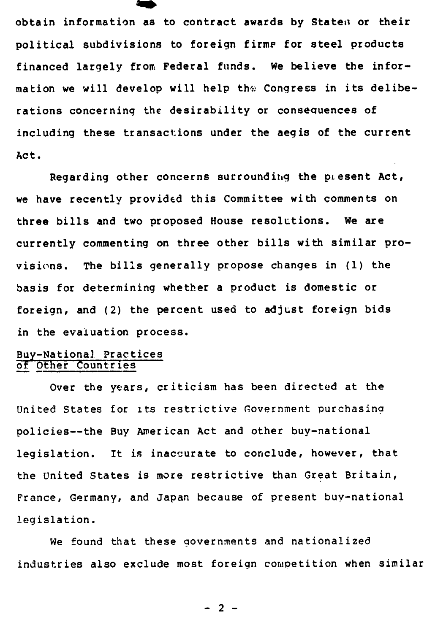obtain information as to contract awards by Staten or their political subdivisions to foreign firms for steel products financed largely from Federal funds. We believe the information we will develop will help the Congress in its deliberations concerning the desirability or consequences of including these transactions under the aegis of the current Act.

Regarding other concerns surrounding the plesent Act, we have recently provided this Committee with comments on three bills and two proposed House resolutions. We are currently commenting on three other bills with similar provisions. The bills generally propose changes in (1) the basis for determining whether a product is domestic or foreign, and (2) the percent used to adjust foreign bids in the evaluation process.

### Buy-Nationa] Practices of Other Countries

Over the years, criticism has been directed at the United States for its restrictive Government purchasina policies--the Buy American Act and other buy-national legislation. It is inaccurate to conclude, however, that the United States is more restrictive than Great Britain, France, Germany, and Japan because of present buy-national legislation.

We found that these governments and nationalized industries also exclude most foreign competition when similar

**- 2 -**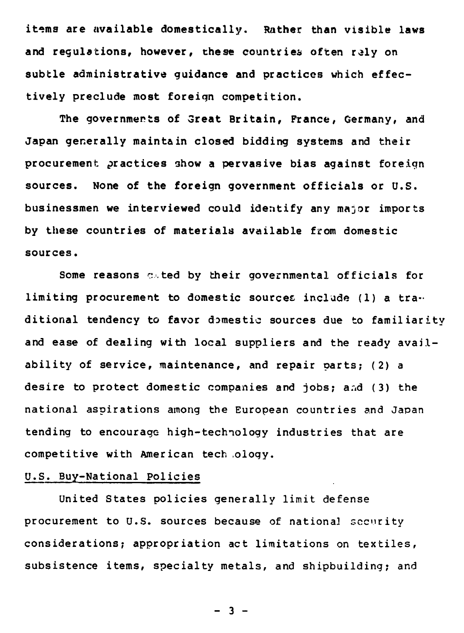items are available domestically. Rather than visible laws and regulations, however, these countries often rely on subtle administrative guidance and practices which effectively preclude most foreign competition.

The governmerts of Great Britain, France, Germany, and Japan generally maintain closed bidding systems and their procurement practices show a pervasive bias against foreign sources. None of the foreign government officials or U.S. businessmen we interviewed could identify any major imports by these countries of materials available from domestic sources.

Some reasons c.ted by their governmental officials for limiting procurement to domestic sources include (1) a tra-. ditional tendency to favor domestic sources due to familiarity and ease of dealing with local suppliers and the ready availability of service, maintenance, and repair parts; (2) a desire to protect domestic companies and jobs; and (3) the national aspirations among the European countries and Japan tending to encourage high-technology industries that are competitive with American tech .oloqy.

# U.S. Buy-National Policies

United States policies generally limit defense procurement to U.S. sources because of national security considerations; appropriation act limitations on textiles, subsistence items, specialty metals, and shipbuilding; and

 $- 3 -$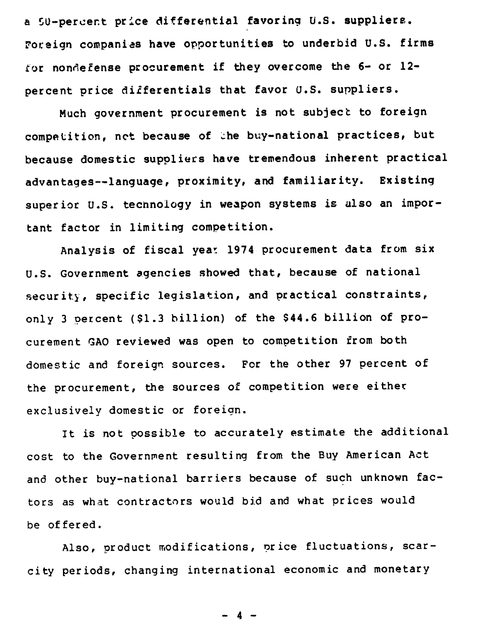a 50-percent price differential favoring U.S. suppliers. Foreign companies have opportunities to underbid U.S. firms tor nondefense procurement if they overcome the 6- or 12 percent price differentials that favor U.S. suppliers.

Much government procurement is not subject to foreign competition, net because of the buy-national practices, but because domestic suppliers have tremendous inherent practical advantages--language, proximity, and familiarity. Existing superior U.S. technology in weapon systems is also an important factor in limiting competition.

Analysis of fiscal year 1974 procurement data from six U.S. Government agencies showed that, because of national security, specific legislation, and practical constraints, only 3 percent (\$1.3 billion) of the \$44.6 billion of procurement GAO reviewed was open to competition from both domestic and foreign sources. For the other 97 percent of the procurement, the sources of competition were either exclusively domestic or foreign.

It is not possible to accurately estimate the additional cost to the Government resulting from the Buy American Act and other buy-national barriers because of such unknown factors as what contractors would bid and what prices would be offered.

Also, product modifications, price fluctuations, scarcity periods, changing international economic and monetary

 $- 4 -$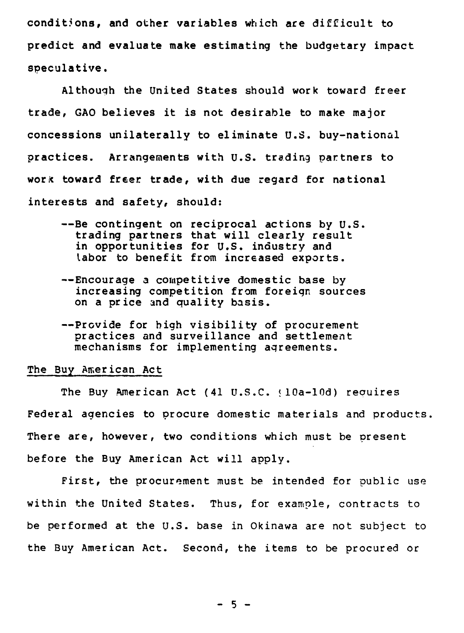conditions, and other variables which are difficult to predict and evaluate make estimating the budgetary impact speculative.

Although the United States should work toward freer trade, GAO believes it is not desirable to make major concessions unilaterally to eliminate U.S. buy-national practices. Arrangements with U.S. trading partners to work toward freer trade, with due regard for national interests and safety, should:

- -- Be contingent on reciprocal actions by U.S. trading partners that will clearly result in opportunities for U.S. industry and labor to benefit from increased exports.
- -- Encourage a competitive domestic base by increasing competition from foreign sources on a price and quality basis.
- -- Provide for high visibility of procurement practices and surveillance and settlement mechanisms for implementing agreements.

#### The Buy American Act

The Buy American Act (41 U.S.C.  $(10a-10d)$  requires Federal agencies to procure domestic materials and products. There are, however, two conditions which must be present before the Buy American Act will apply.

First, the procurement must be intended for public use within the United States. Thus, for example, contracts to be performed at the U.S. base in Okinawa are not subject to the Buy American Act. Second, the items to be procured or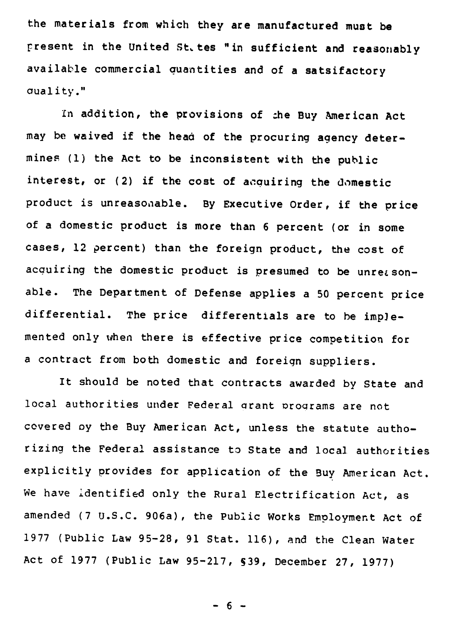the materials from which they are manufactured must be present in the United St, tes "in sufficient and reasonably available commercial auantities and of a satsifactory aual ity."

In addition, the provisions of :he Buy American Act may be waived if the head of the procuring agency determines (1) the Act to be inconsistent with the public interest, or (2) if the cost of acauiring the domestic product is unreasonable. By Executive Order, if the price of a domestic product is more than 6 percent (or in some cases, 12 percent) than the foreign product, the cost of acquiring the domestic product is presumed to be unreasonable. The Department of Defense applies a 50 percent price differential. The price differentials are to be implemented only when there is effective price competition for a contract from both domestic and foreign suppliers.

It should be noted that contracts awarded by State and local authorities under Federal grant programs are not covered oy the Buy American Act, unless the statute authorizing the Federal assistance to State and local authorities explicitly provides for application of the Buy American Act. We have identified only the Rural Electrification Act, as amended (7 U.S.C. 906a), the Public Works Employment Act of 1977 (Public Law 95-28, 91 Stat. 116), and the Clean Water Act of 1977 (Public Law 95-217, S39, December 27, 1977)

- 6 -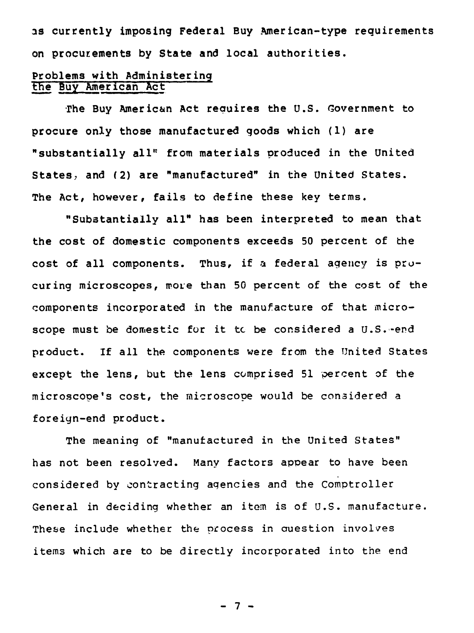as currently imposing Federal Buy American-type requirements on procurements by State and local authorities.

# **Problems with Administering the** Buy American Act

The Buy American Act reauires the U.S. Government to procure only those manufactured goods which (1) are "substantially all' from materials produced in the United States, and (2) are "manufactured" in the United States. The Act, however, fails to define these key terms.

"Substantially all" has been interpreted to mean that the cost of domestic components exceeds 50 percent of the cost of all components. Thus, if a federal agency is procuring microscopes, more than 50 percent of the cost of the components incorporated in the manufacture of that microscope must be domestic for it tc be considered a U.S.-end product. If all the components were from the United States except the lens, but the lens comprised 51 percent of the microscope's cost, the microscope would be considered a foreign-end product.

The meaning of "manufactured in the United States" has not been resolved. Many factors appear to have been considered by contracting agencies and the Comptroller General in deciding whether an item is of U.S. manufacture. These include whether the process in question involves items which are to be directly incorporated into the end

**- 7 -**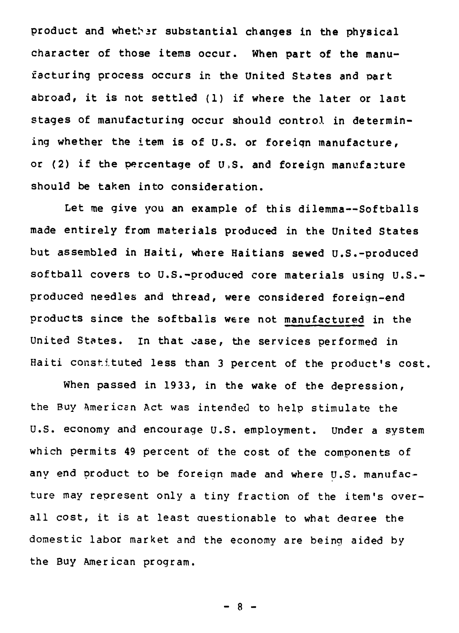product and whether substantial changes in the physical character of those items occur. When part of the manufacturing process occurs in the United States and part abroad, it is not settled (1) if where the later or last stages of manufacturing occur should control in determining whether the item is of U.S. or foreign manufacture, or (2) if the percentage of  $U$ .S. and foreign manufacture should be taken into consideration.

Let me give you an example of this dilemma--Softballs made entirely from materials produced in the United States but assembled in Haiti, where Haitians sewed U.S.-produced softball covers to U.S.-produced core materials using U.S. produced needles and thread, were considered foreign-end products since the softballs were not manufactured in the United States. In that case, the services performed in Haiti constituted less than 3 percent of the product's cost.

When passed in 1933, in the wake of the depression, the Buy American Act was intended to help stimulate the U.S. economy and encourage U.S. employment. Under a system which permits 49 percent of the cost of the components of any end product to be foreign made and where U.S. manufacture may represent only a tiny fraction of the item's overall cost, it is at least questionable to what decree the domestic labor market and the economy are being aided by the Buy American program.

 $-8 -$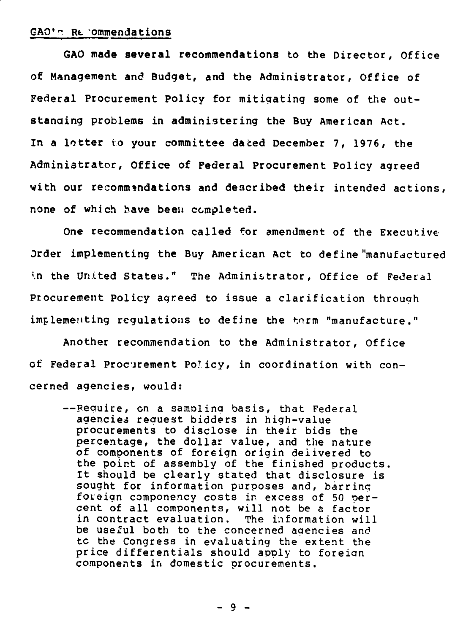#### GAO's Re 'ommendations

GAO made several recommendations to the Director, Office of Management and Budget, and the Administrator, Office of Federal Procurement Policy for mitigating some of the outstanding problems in administering the Buy American Act. In a letter to your committee dated December 7, 1976, the Administrator, Office of Federal Procurement Policy agreed with our recommendations and described their intended actions, none of which bave been completed.

One recommendation called for amendment of the Executive order implementing the Buy American Act to define"manufactured in the United States." The Administrator, Office of Federal Procurement Policy agreed to issue a clarification throuah implementing regulations to define the term "manufacture."

Another recommendation to the Administrator, Office of Federal Procurement Poicy, in coordination with concerned agencies, would:

-- Require, on a sampling basis, that Federal agencies request bidders in high-value procurements to disclose in their bids the percentage, the dollar value, and the nature of components of foreign origin delivered to the point of assembly of the finished products. It should be clearly stated that disclosure is sought for information purposes and, barring foreign componency costs in excess of 50 Dercent of all components, will not be a factor<br>in contract evaluation, The information will in contract evaluation, be useful both to the concerned agencies and tc the Congress in evaluating the extent the price differentials should apply to foreign components in domestic procurements.

**- 9 -**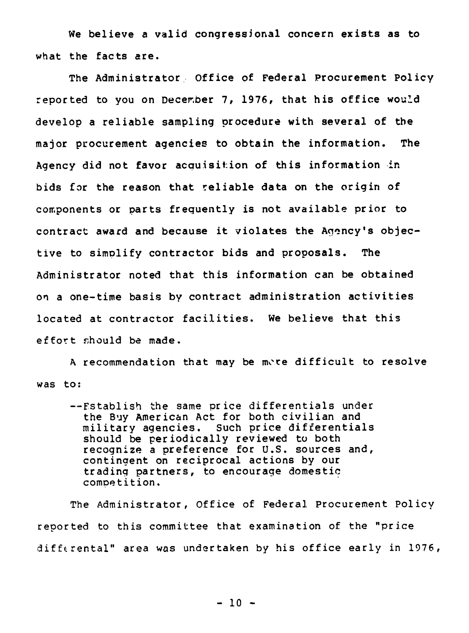We believe a valid congressional concern exists as to what the facts are.

The Administrator Office of Federal Procurement Policy reported to you on December 7, 1976, that his office would develop a reliable sampling procedure with several of the major procurement agencies to obtain the information. The Agency did not favor acquisit:ion of this information in bids for the reason that reliable data on the origin of components or parts frequently is not available prior to contract award and because it violates the Agency's objective to simplify contractor bids and proposals. The Administrator noted that this information can be obtained on a one-time basis by contract administration activities located at contractor facilities. We believe that this effort should be made.

A recommendation that may be more difficult to resolve was to:

--Establish the same price differentials under the Buy American Act for both civilian and military agencies. Such price differentials should be periodically reviewed to both recognize a preference for U.S. sources and, contingent on reciprocal actions by our trading partners, to encourage domestic competition.

The Administrator, Office of Federal Procurement Policy reported to this committee that examination of the "price differental" area was undertaken by his office early in 1976,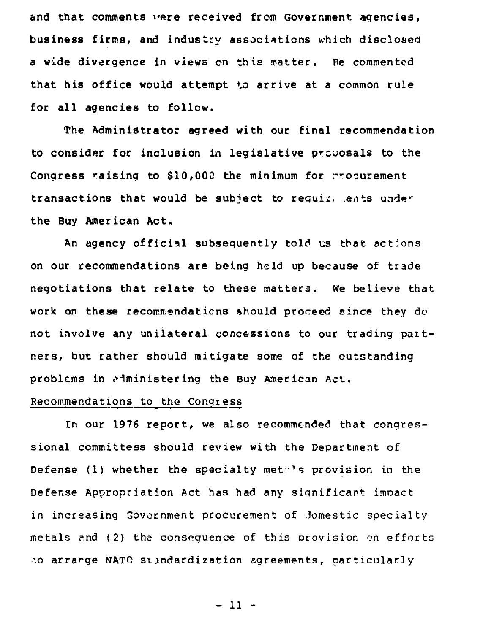and that comments were received from Government agencies, business firms, and industry associations which disclosed a wide divergence in views on this matter. He commented that his office would attempt to arrive at a common rule for all agencies to follow.

The Administrator agreed with our final recommendation to consider for inclusion in legislative prsuosals to the Congress raising to \$10,000 the minimum for propurement transactions that would be subject to recuir, .ents under the Buy American Act.

An agency official subsequently told us that actions on our recommendations are being held up because of trade negotiations that relate to these matters. we believe that work on these recommendations should proceed since they do not involve any unilateral concessions to our trading partners, but rather should mitigate some of the outstanding problems in administering the Buy American Act.

### Recommendations to the Congress

In our 1976 report, we also recommended that congressional committess should review with the Department of Defense (1) whether the specialty methis provision in the Defense Appropriation Act has had any siqnificant imoact in increasing Govornment procurement of Jomestic specialty metals and (2) the consequence of this provision on efforts o arrarge NATO standardization agreements, particularly

- 11 -